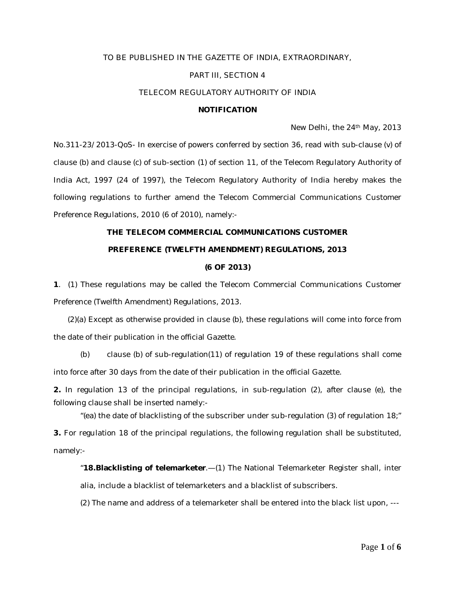## TO BE PUBLISHED IN THE GAZETTE OF INDIA, EXTRAORDINARY,

## PART III, SECTION 4

### TELECOM REGULATORY AUTHORITY OF INDIA

## **NOTIFICATION**

New Delhi, the 24th May, 2013

No.311-23/2013-QoS- In exercise of powers conferred by section 36, read with sub-clause (v) of clause (b) and clause (c) of sub-section (1) of section 11, of the Telecom Regulatory Authority of India Act, 1997 (24 of 1997), the Telecom Regulatory Authority of India hereby makes the following regulations to further amend the Telecom Commercial Communications Customer Preference Regulations, 2010 (6 of 2010), namely:-

# **THE TELECOM COMMERCIAL COMMUNICATIONS CUSTOMER PREFERENCE (TWELFTH AMENDMENT) REGULATIONS, 2013**

## **(6 OF 2013)**

**1**. (1) These regulations may be called the Telecom Commercial Communications Customer Preference (Twelfth Amendment) Regulations, 2013.

 (2)(a) Except as otherwise provided in clause (b), these regulations will come into force from the date of their publication in the official Gazette.

(b) clause (b) of sub-regulation(11) of regulation 19 of these regulations shall come into force after 30 days from the date of their publication in the official Gazette.

**2.** In regulation 13 of the principal regulations, in sub-regulation (2), after clause (e), the following clause shall be inserted namely:-

"(ea) the date of blacklisting of the subscriber under sub-regulation (3) of regulation 18;" **3.** For regulation 18 of the principal regulations, the following regulation shall be substituted, namely:-

"**18.Blacklisting of telemarketer**.—(1) The National Telemarketer Register shall, inter alia, include a blacklist of telemarketers and a blacklist of subscribers.

(2) The name and address of a telemarketer shall be entered into the black list upon, ---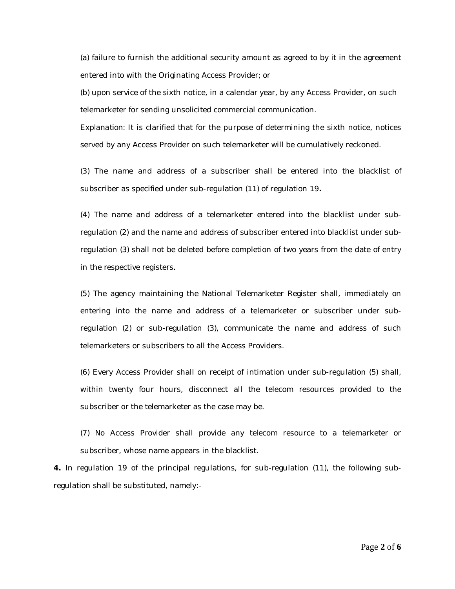(a) failure to furnish the additional security amount as agreed to by it in the agreement entered into with the Originating Access Provider; or

(b) upon service of the sixth notice, in a calendar year, by any Access Provider, on such telemarketer for sending unsolicited commercial communication.

*Explanation:* It is clarified that for the purpose of determining the sixth notice, notices served by any Access Provider on such telemarketer will be cumulatively reckoned.

(3) The name and address of a subscriber shall be entered into the blacklist of subscriber as specified under sub-regulation (11) of regulation 19**.**

(4) The name and address of a telemarketer entered into the blacklist under subregulation (2) and the name and address of subscriber entered into blacklist under subregulation (3) shall not be deleted before completion of two years from the date of entry in the respective registers.

(5) The agency maintaining the National Telemarketer Register shall, immediately on entering into the name and address of a telemarketer or subscriber under subregulation (2) or sub-regulation (3), communicate the name and address of such telemarketers or subscribers to all the Access Providers.

(6) Every Access Provider shall on receipt of intimation under sub-regulation (5) shall, within twenty four hours, disconnect all the telecom resources provided to the subscriber or the telemarketer as the case may be.

(7) No Access Provider shall provide any telecom resource to a telemarketer or subscriber, whose name appears in the blacklist.

**4.** In regulation 19 of the principal regulations, for sub-regulation (11), the following subregulation shall be substituted, namely:-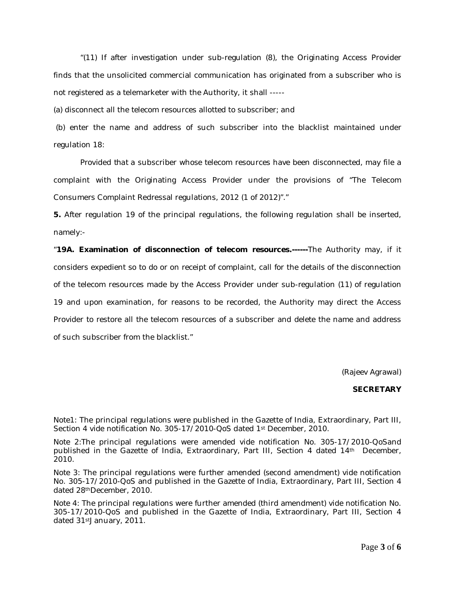"(11) If after investigation under sub-regulation (8), the Originating Access Provider finds that the unsolicited commercial communication has originated from a subscriber who is not registered as a telemarketer with the Authority, it shall -----

(a) disconnect all the telecom resources allotted to subscriber; and

(b) enter the name and address of such subscriber into the blacklist maintained under regulation 18:

*Provided that* a subscriber whose telecom resources have been disconnected, may file a complaint with the Originating Access Provider under the provisions of "The Telecom Consumers Complaint Redressal regulations, 2012 (1 of 2012)"."

**5.** After regulation 19 of the principal regulations, the following regulation shall be inserted, namely:-

"**19A. Examination of disconnection of telecom resources.------**The Authority may, if it considers expedient so to do or on receipt of complaint, call for the details of the disconnection of the telecom resources made by the Access Provider under sub-regulation (11) of regulation 19 and upon examination, for reasons to be recorded, the Authority may direct the Access Provider to restore all the telecom resources of a subscriber and delete the name and address of such subscriber from the blacklist."

(Rajeev Agrawal)

## **SECRETARY**

Note1: The principal regulations were published in the Gazette of India, Extraordinary, Part III, Section 4 vide notification No. 305-17/2010-QoS dated 1st December, 2010.

Note 2:The principal regulations were amended vide notification No. 305-17/2010-QoSand published in the Gazette of India, Extraordinary, Part III, Section 4 dated 14th December, 2010.

Note 3: The principal regulations were further amended (second amendment) vide notification No. 305-17/2010-QoS and published in the Gazette of India, Extraordinary, Part III, Section 4 dated 28thDecember, 2010.

Note 4: The principal regulations were further amended (third amendment) vide notification No. 305-17/2010-QoS and published in the Gazette of India, Extraordinary, Part III, Section 4 dated 31stJanuary, 2011.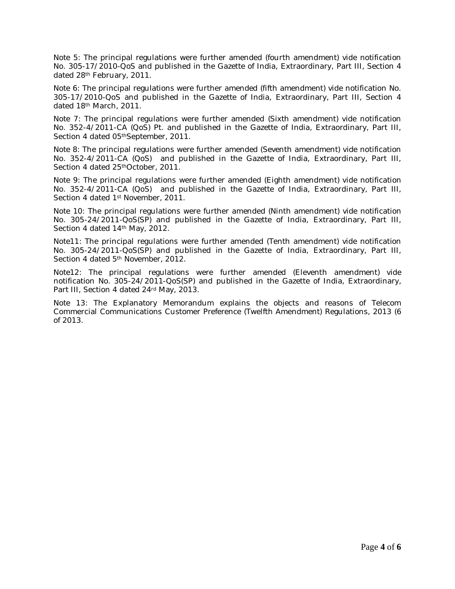Note 5: The principal regulations were further amended (fourth amendment) vide notification No. 305-17/2010-QoS and published in the Gazette of India, Extraordinary, Part III, Section 4 dated 28th February, 2011.

Note 6: The principal regulations were further amended (fifth amendment) vide notification No. 305-17/2010-QoS and published in the Gazette of India, Extraordinary, Part III, Section 4 dated 18th March, 2011.

Note 7: The principal regulations were further amended (Sixth amendment) vide notification No. 352-4/2011-CA (QoS) Pt. and published in the Gazette of India, Extraordinary, Part III, Section 4 dated 05<sup>th</sup>September, 2011.

Note 8: The principal regulations were further amended (Seventh amendment) vide notification No. 352-4/2011-CA (QoS) and published in the Gazette of India, Extraordinary, Part III, Section 4 dated 25<sup>th</sup>October, 2011.

Note 9: The principal regulations were further amended (Eighth amendment) vide notification No. 352-4/2011-CA (QoS) and published in the Gazette of India, Extraordinary, Part III, Section 4 dated 1<sup>st</sup> November, 2011.

Note 10: The principal regulations were further amended (Ninth amendment) vide notification No. 305-24/2011-QoS(SP) and published in the Gazette of India, Extraordinary, Part III, Section 4 dated 14th May, 2012.

Note11: The principal regulations were further amended (Tenth amendment) vide notification No. 305-24/2011-QoS(SP) and published in the Gazette of India, Extraordinary, Part III, Section 4 dated 5<sup>th</sup> November, 2012.

Note12: The principal regulations were further amended (Eleventh amendment) vide notification No. 305-24/2011-QoS(SP) and published in the Gazette of India, Extraordinary, Part III, Section 4 dated 24<sup>rd</sup> May, 2013.

Note 13: The Explanatory Memorandum explains the objects and reasons of Telecom Commercial Communications Customer Preference (Twelfth Amendment) Regulations, 2013 (6 of 2013.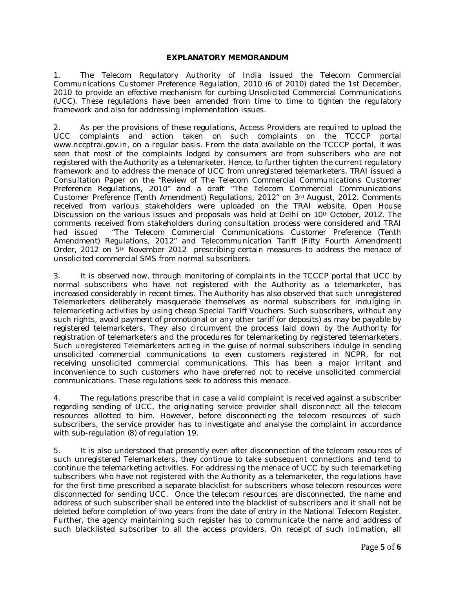## **EXPLANATORY MEMORANDUM**

1. The Telecom Regulatory Authority of India issued the Telecom Commercial Communications Customer Preference Regulation, 2010 (6 of 2010) dated the 1st December, 2010 to provide an effective mechanism for curbing Unsolicited Commercial Communications (UCC). These regulations have been amended from time to time to tighten the regulatory framework and also for addressing implementation issues.

2. As per the provisions of these regulations, Access Providers are required to upload the UCC complaints and action taken on such complaints on the TCCCP portal www.nccptrai.gov.in, on a regular basis. From the data available on the TCCCP portal, it was seen that most of the complaints lodged by consumers are from subscribers who are not registered with the Authority as a telemarketer. Hence, to further tighten the current regulatory framework and to address the menace of UCC from unregistered telemarketers, TRAI issued a Consultation Paper on the "Review of The Telecom Commercial Communications Customer Preference Regulations, 2010" and a draft "The Telecom Commercial Communications Customer Preference (Tenth Amendment) Regulations, 2012" on 3rd August, 2012. Comments received from various stakeholders were uploaded on the TRAI website. Open House Discussion on the various issues and proposals was held at Delhi on 10<sup>th</sup> October, 2012. The comments received from stakeholders during consultation process were considered and TRAI had issued "The Telecom Commercial Communications Customer Preference (Tenth Amendment) Regulations, 2012" and Telecommunication Tariff (Fifty Fourth Amendment) Order, 2012 on 5th November 2012 prescribing certain measures to address the menace of unsolicited commercial SMS from normal subscribers.

3. It is observed now, through monitoring of complaints in the TCCCP portal that UCC by normal subscribers who have not registered with the Authority as a telemarketer, has increased considerably in recent times. The Authority has also observed that such unregistered Telemarketers deliberately masquerade themselves as normal subscribers for indulging in telemarketing activities by using cheap Special Tariff Vouchers. Such subscribers, without any such rights, avoid payment of promotional or any other tariff (or deposits) as may be payable by registered telemarketers. They also circumvent the process laid down by the Authority for registration of telemarketers and the procedures for telemarketing by registered telemarketers. Such unregistered Telemarketers acting in the guise of normal subscribers indulge in sending unsolicited commercial communications to even customers registered in NCPR, for not receiving unsolicited commercial communications. This has been a major irritant and inconvenience to such customers who have preferred not to receive unsolicited commercial communications. These regulations seek to address this menace.

4. The regulations prescribe that in case a valid complaint is received against a subscriber regarding sending of UCC, the originating service provider shall disconnect all the telecom resources allotted to him. However, before disconnecting the telecom resources of such subscribers, the service provider has to investigate and analyse the complaint in accordance with sub-regulation (8) of regulation 19.

5. It is also understood that presently even after disconnection of the telecom resources of such unregistered Telemarketers, they continue to take subsequent connections and tend to continue the telemarketing activities. For addressing the menace of UCC by such telemarketing subscribers who have not registered with the Authority as a telemarketer, the regulations have for the first time prescribed a separate blacklist for subscribers whose telecom resources were disconnected for sending UCC. Once the telecom resources are disconnected, the name and address of such subscriber shall be entered into the blacklist of subscribers and it shall not be deleted before completion of two years from the date of entry in the National Telecom Register. Further, the agency maintaining such register has to communicate the name and address of such blacklisted subscriber to all the access providers. On receipt of such intimation, all